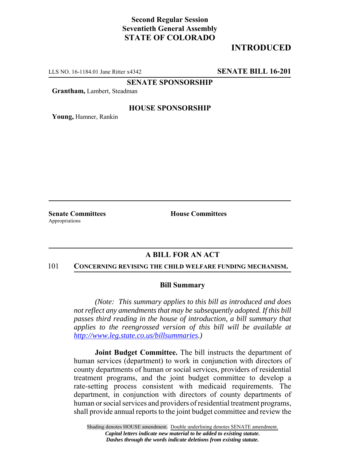# **Second Regular Session Seventieth General Assembly STATE OF COLORADO**

# **INTRODUCED**

LLS NO. 16-1184.01 Jane Ritter x4342 **SENATE BILL 16-201**

**SENATE SPONSORSHIP**

**Grantham,** Lambert, Steadman

### **HOUSE SPONSORSHIP**

**Young,** Hamner, Rankin

Appropriations

**Senate Committees House Committees** 

## **A BILL FOR AN ACT**

#### 101 **CONCERNING REVISING THE CHILD WELFARE FUNDING MECHANISM.**

### **Bill Summary**

*(Note: This summary applies to this bill as introduced and does not reflect any amendments that may be subsequently adopted. If this bill passes third reading in the house of introduction, a bill summary that applies to the reengrossed version of this bill will be available at http://www.leg.state.co.us/billsummaries.)*

**Joint Budget Committee.** The bill instructs the department of human services (department) to work in conjunction with directors of county departments of human or social services, providers of residential treatment programs, and the joint budget committee to develop a rate-setting process consistent with medicaid requirements. The department, in conjunction with directors of county departments of human or social services and providers of residential treatment programs, shall provide annual reports to the joint budget committee and review the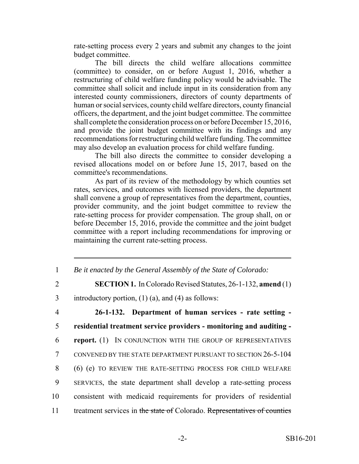rate-setting process every 2 years and submit any changes to the joint budget committee.

The bill directs the child welfare allocations committee (committee) to consider, on or before August 1, 2016, whether a restructuring of child welfare funding policy would be advisable. The committee shall solicit and include input in its consideration from any interested county commissioners, directors of county departments of human or social services, county child welfare directors, county financial officers, the department, and the joint budget committee. The committee shall complete the consideration process on or before December 15, 2016, and provide the joint budget committee with its findings and any recommendations for restructuring child welfare funding. The committee may also develop an evaluation process for child welfare funding.

The bill also directs the committee to consider developing a revised allocations model on or before June 15, 2017, based on the committee's recommendations.

As part of its review of the methodology by which counties set rates, services, and outcomes with licensed providers, the department shall convene a group of representatives from the department, counties, provider community, and the joint budget committee to review the rate-setting process for provider compensation. The group shall, on or before December 15, 2016, provide the committee and the joint budget committee with a report including recommendations for improving or maintaining the current rate-setting process.

- 1 *Be it enacted by the General Assembly of the State of Colorado:*
- 2 **SECTION 1.** In Colorado Revised Statutes, 26-1-132, **amend** (1)
- 3 introductory portion, (1) (a), and (4) as follows:
- 4 **26-1-132. Department of human services rate setting -** 5 **residential treatment service providers - monitoring and auditing -** 6 **report.** (1) IN CONJUNCTION WITH THE GROUP OF REPRESENTATIVES 7 CONVENED BY THE STATE DEPARTMENT PURSUANT TO SECTION 26-5-104 8 (6) (e) TO REVIEW THE RATE-SETTING PROCESS FOR CHILD WELFARE 9 SERVICES, the state department shall develop a rate-setting process 10 consistent with medicaid requirements for providers of residential 11 treatment services in the state of Colorado. Representatives of counties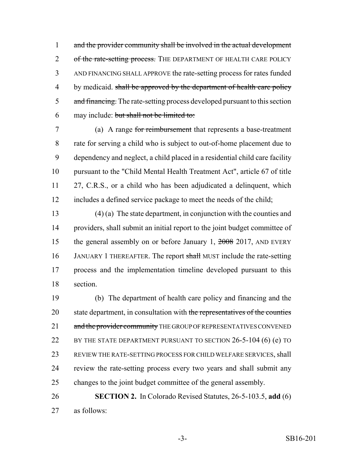and the provider community shall be involved in the actual development 2 of the rate-setting process. THE DEPARTMENT OF HEALTH CARE POLICY AND FINANCING SHALL APPROVE the rate-setting process for rates funded 4 by medicaid. shall be approved by the department of health care policy 5 and financing. The rate-setting process developed pursuant to this section may include: but shall not be limited to:

 (a) A range for reimbursement that represents a base-treatment rate for serving a child who is subject to out-of-home placement due to dependency and neglect, a child placed in a residential child care facility pursuant to the "Child Mental Health Treatment Act", article 67 of title 11 27, C.R.S., or a child who has been adjudicated a delinquent, which includes a defined service package to meet the needs of the child;

 (4) (a) The state department, in conjunction with the counties and providers, shall submit an initial report to the joint budget committee of 15 the general assembly on or before January 1, 2008 2017, AND EVERY 16 JANUARY 1 THEREAFTER. The report shall MUST include the rate-setting process and the implementation timeline developed pursuant to this section.

 (b) The department of health care policy and financing and the 20 state department, in consultation with the representatives of the counties 21 and the provider community THE GROUP OF REPRESENTATIVES CONVENED 22 BY THE STATE DEPARTMENT PURSUANT TO SECTION 26-5-104 (6) (e) TO REVIEW THE RATE-SETTING PROCESS FOR CHILD WELFARE SERVICES, shall review the rate-setting process every two years and shall submit any changes to the joint budget committee of the general assembly.

 **SECTION 2.** In Colorado Revised Statutes, 26-5-103.5, **add** (6) as follows: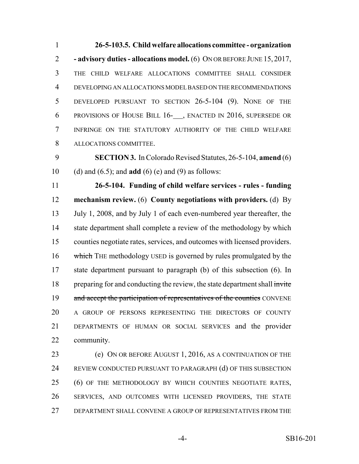**26-5-103.5. Child welfare allocations committee - organization - advisory duties - allocations model.** (6) ON OR BEFORE JUNE 15, 2017, THE CHILD WELFARE ALLOCATIONS COMMITTEE SHALL CONSIDER DEVELOPING AN ALLOCATIONS MODEL BASED ON THE RECOMMENDATIONS DEVELOPED PURSUANT TO SECTION 26-5-104 (9). NONE OF THE PROVISIONS OF HOUSE BILL 16- , ENACTED IN 2016, SUPERSEDE OR INFRINGE ON THE STATUTORY AUTHORITY OF THE CHILD WELFARE ALLOCATIONS COMMITTEE.

 **SECTION 3.** In Colorado Revised Statutes, 26-5-104, **amend** (6) (d) and (6.5); and **add** (6) (e) and (9) as follows:

 **26-5-104. Funding of child welfare services - rules - funding mechanism review.** (6) **County negotiations with providers.** (d) By July 1, 2008, and by July 1 of each even-numbered year thereafter, the 14 state department shall complete a review of the methodology by which counties negotiate rates, services, and outcomes with licensed providers. 16 which THE methodology USED is governed by rules promulgated by the state department pursuant to paragraph (b) of this subsection (6). In 18 preparing for and conducting the review, the state department shall invite 19 and accept the participation of representatives of the counties CONVENE A GROUP OF PERSONS REPRESENTING THE DIRECTORS OF COUNTY DEPARTMENTS OF HUMAN OR SOCIAL SERVICES and the provider community.

 (e) ON OR BEFORE AUGUST 1, 2016, AS A CONTINUATION OF THE REVIEW CONDUCTED PURSUANT TO PARAGRAPH (d) OF THIS SUBSECTION (6) OF THE METHODOLOGY BY WHICH COUNTIES NEGOTIATE RATES, SERVICES, AND OUTCOMES WITH LICENSED PROVIDERS, THE STATE DEPARTMENT SHALL CONVENE A GROUP OF REPRESENTATIVES FROM THE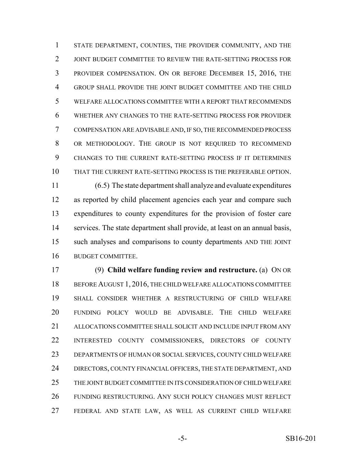STATE DEPARTMENT, COUNTIES, THE PROVIDER COMMUNITY, AND THE JOINT BUDGET COMMITTEE TO REVIEW THE RATE-SETTING PROCESS FOR PROVIDER COMPENSATION. ON OR BEFORE DECEMBER 15, 2016, THE GROUP SHALL PROVIDE THE JOINT BUDGET COMMITTEE AND THE CHILD WELFARE ALLOCATIONS COMMITTEE WITH A REPORT THAT RECOMMENDS WHETHER ANY CHANGES TO THE RATE-SETTING PROCESS FOR PROVIDER COMPENSATION ARE ADVISABLE AND, IF SO, THE RECOMMENDED PROCESS OR METHODOLOGY. THE GROUP IS NOT REQUIRED TO RECOMMEND CHANGES TO THE CURRENT RATE-SETTING PROCESS IF IT DETERMINES THAT THE CURRENT RATE-SETTING PROCESS IS THE PREFERABLE OPTION. (6.5) The state department shall analyze and evaluate expenditures

 as reported by child placement agencies each year and compare such expenditures to county expenditures for the provision of foster care services. The state department shall provide, at least on an annual basis, such analyses and comparisons to county departments AND THE JOINT BUDGET COMMITTEE.

 (9) **Child welfare funding review and restructure.** (a) ON OR 18 BEFORE AUGUST 1, 2016, THE CHILD WELFARE ALLOCATIONS COMMITTEE SHALL CONSIDER WHETHER A RESTRUCTURING OF CHILD WELFARE FUNDING POLICY WOULD BE ADVISABLE. THE CHILD WELFARE ALLOCATIONS COMMITTEE SHALL SOLICIT AND INCLUDE INPUT FROM ANY INTERESTED COUNTY COMMISSIONERS, DIRECTORS OF COUNTY DEPARTMENTS OF HUMAN OR SOCIAL SERVICES, COUNTY CHILD WELFARE 24 DIRECTORS, COUNTY FINANCIAL OFFICERS, THE STATE DEPARTMENT, AND THE JOINT BUDGET COMMITTEE IN ITS CONSIDERATION OF CHILD WELFARE FUNDING RESTRUCTURING. ANY SUCH POLICY CHANGES MUST REFLECT FEDERAL AND STATE LAW, AS WELL AS CURRENT CHILD WELFARE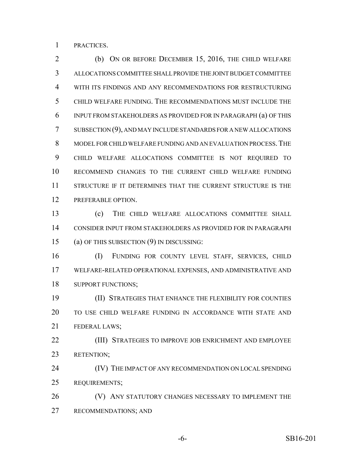PRACTICES.

 (b) ON OR BEFORE DECEMBER 15, 2016, THE CHILD WELFARE ALLOCATIONS COMMITTEE SHALL PROVIDE THE JOINT BUDGET COMMITTEE WITH ITS FINDINGS AND ANY RECOMMENDATIONS FOR RESTRUCTURING CHILD WELFARE FUNDING. THE RECOMMENDATIONS MUST INCLUDE THE INPUT FROM STAKEHOLDERS AS PROVIDED FOR IN PARAGRAPH (a) OF THIS SUBSECTION (9), AND MAY INCLUDE STANDARDS FOR A NEW ALLOCATIONS MODEL FOR CHILD WELFARE FUNDING AND AN EVALUATION PROCESS.THE CHILD WELFARE ALLOCATIONS COMMITTEE IS NOT REQUIRED TO RECOMMEND CHANGES TO THE CURRENT CHILD WELFARE FUNDING STRUCTURE IF IT DETERMINES THAT THE CURRENT STRUCTURE IS THE PREFERABLE OPTION.

 (c) THE CHILD WELFARE ALLOCATIONS COMMITTEE SHALL CONSIDER INPUT FROM STAKEHOLDERS AS PROVIDED FOR IN PARAGRAPH (a) OF THIS SUBSECTION (9) IN DISCUSSING:

 (I) FUNDING FOR COUNTY LEVEL STAFF, SERVICES, CHILD WELFARE-RELATED OPERATIONAL EXPENSES, AND ADMINISTRATIVE AND 18 SUPPORT FUNCTIONS;

 (II) STRATEGIES THAT ENHANCE THE FLEXIBILITY FOR COUNTIES TO USE CHILD WELFARE FUNDING IN ACCORDANCE WITH STATE AND FEDERAL LAWS;

**(III) STRATEGIES TO IMPROVE JOB ENRICHMENT AND EMPLOYEE** RETENTION;

 (IV) THE IMPACT OF ANY RECOMMENDATION ON LOCAL SPENDING REQUIREMENTS;

**(V) ANY STATUTORY CHANGES NECESSARY TO IMPLEMENT THE** RECOMMENDATIONS; AND